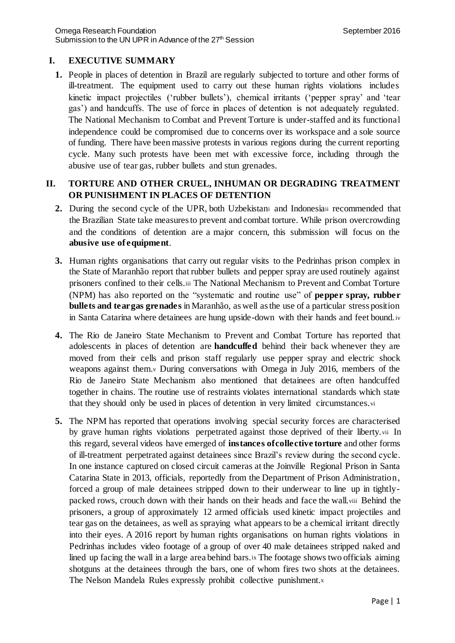# **I. EXECUTIVE SUMMARY**

**1.** People in places of detention in Brazil are regularly subjected to torture and other forms of ill-treatment. The equipment used to carry out these human rights violations includes kinetic impact projectiles ('rubber bullets'), chemical irritants ('pepper spray' and 'tear gas') and handcuffs. The use of force in places of detention is not adequately regulated. The National Mechanism to Combat and Prevent Torture is under-staffed and its functional independence could be compromised due to concerns over its workspace and a sole source of funding. There have been massive protests in various regions during the current reporting cycle. Many such protests have been met with excessive force, including through the abusive use of tear gas, rubber bullets and stun grenades.

# **II. TORTURE AND OTHER CRUEL, INHUMAN OR DEGRADING TREATMENT OR PUNISHMENT IN PLACES OF DETENTION**

- **2.** During the second cycle of the UPR, both Uzbekistan<sup>i</sup> and Indonesiaii recommended that the Brazilian State take measures to prevent and combat torture. While prison overcrowding and the conditions of detention are a major concern, this submission will focus on the **abusive use of equipment**.
- **3.** Human rights organisations that carry out regular visits to the Pedrinhas prison complex in the State of Maranhão report that rubber bullets and pepper spray are used routinely against prisoners confined to their cells.iii The National Mechanism to Prevent and Combat Torture (NPM) has also reported on the "systematic and routine use" of **pepper spray, rubber bullets and tear gas grenades** in Maranhão, as well as the use of a particular stress position in Santa Catarina where detainees are hung upside-down with their hands and feet bound. iv
- **4.** The Rio de Janeiro State Mechanism to Prevent and Combat Torture has reported that adolescents in places of detention are **handcuffed** behind their back whenever they are moved from their cells and prison staff regularly use pepper spray and electric shock weapons against them.<sup>v</sup> During conversations with Omega in July 2016, members of the Rio de Janeiro State Mechanism also mentioned that detainees are often handcuffed together in chains. The routine use of restraints violates international standards which state that they should only be used in places of detention in very limited circumstances.vi
- **5.** The NPM has reported that operations involving special security forces are characterised by grave human rights violations perpetrated against those deprived of their liberty.vii In this regard, several videos have emerged of **instances of collective torture** and other forms of ill-treatment perpetrated against detainees since Brazil's review during the second cycle. In one instance captured on closed circuit cameras at the Joinville Regional Prison in Santa Catarina State in 2013, officials, reportedly from the Department of Prison Administration, forced a group of male detainees stripped down to their underwear to line up in tightlypacked rows, crouch down with their hands on their heads and face the wall.viii Behind the prisoners, a group of approximately 12 armed officials used kinetic impact projectiles and tear gas on the detainees, as well as spraying what appears to be a chemical irritant directly into their eyes. A 2016 report by human rights organisations on human rights violations in Pedrinhas includes video footage of a group of over 40 male detainees stripped naked and lined up facing the wall in a large area behind bars. ix The footage shows two officials aiming shotguns at the detainees through the bars, one of whom fires two shots at the detainees. The Nelson Mandela Rules expressly prohibit collective punishment.x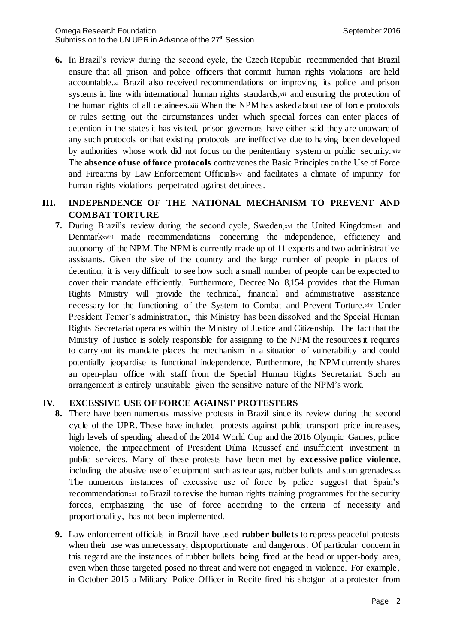**6.** In Brazil's review during the second cycle, the Czech Republic recommended that Brazil ensure that all prison and police officers that commit human rights violations are held accountable.xi Brazil also received recommendations on improving its police and prison systems in line with international human rights standards, xii and ensuring the protection of the human rights of all detainees.xiii When the NPM has asked about use of force protocols or rules setting out the circumstances under which special forces can enter places of detention in the states it has visited, prison governors have either said they are unaware of any such protocols or that existing protocols are ineffective due to having been developed by authorities whose work did not focus on the penitentiary system or public security. xiv The **absence of use of force protocols** contravenes the Basic Principles on the Use of Force and Firearms by Law Enforcement Officialsxv and facilitates a climate of impunity for human rights violations perpetrated against detainees.

## **III. INDEPENDENCE OF THE NATIONAL MECHANISM TO PREVENT AND COMBAT TORTURE**

**7.** During Brazil's review during the second cycle, Sweden,xvi the United Kingdomxvii and Denmarkxviii made recommendations concerning the independence, efficiency and autonomy of the NPM. The NPM is currently made up of 11 experts and two administrative assistants. Given the size of the country and the large number of people in places of detention, it is very difficult to see how such a small number of people can be expected to cover their mandate efficiently. Furthermore, Decree No. 8,154 provides that the Human Rights Ministry will provide the technical, financial and administrative assistance necessary for the functioning of the System to Combat and Prevent Torture.xix Under President Temer's administration, this Ministry has been dissolved and the Special Human Rights Secretariat operates within the Ministry of Justice and Citizenship. The fact that the Ministry of Justice is solely responsible for assigning to the NPM the resources it requires to carry out its mandate places the mechanism in a situation of vulnerability and could potentially jeopardise its functional independence. Furthermore, the NPM currently shares an open-plan office with staff from the Special Human Rights Secretariat. Such an arrangement is entirely unsuitable given the sensitive nature of the NPM's work.

### **IV. EXCESSIVE USE OF FORCE AGAINST PROTESTERS**

- **8.** There have been numerous massive protests in Brazil since its review during the second cycle of the UPR. These have included protests against public transport price increases, high levels of spending ahead of the 2014 World Cup and the 2016 Olympic Games, police violence, the impeachment of President Dilma Roussef and insufficient investment in public services. Many of these protests have been met by **excessive police violence**, including the abusive use of equipment such as tear gas, rubber bullets and stun grenades.xx The numerous instances of excessive use of force by police suggest that Spain's recommendationxxi to Brazil to revise the human rights training programmes for the security forces, emphasizing the use of force according to the criteria of necessity and proportionality, has not been implemented.
- **9.** Law enforcement officials in Brazil have used **rubber bullets** to repress peaceful protests when their use was unnecessary, disproportionate and dangerous. Of particular concern in this regard are the instances of rubber bullets being fired at the head or upper-body area, even when those targeted posed no threat and were not engaged in violence. For example, in October 2015 a Military Police Officer in Recife fired his shotgun at a protester from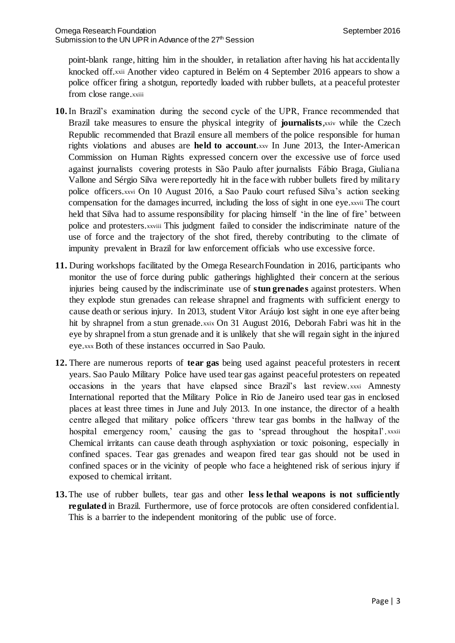point-blank range, hitting him in the shoulder, in retaliation after having his hat accidentally knocked off.xxii Another video captured in Belém on 4 September 2016 appears to show a police officer firing a shotgun, reportedly loaded with rubber bullets, at a peaceful protester from close range.xxiii

- **10.**In Brazil's examination during the second cycle of the UPR, France recommended that Brazil take measures to ensure the physical integrity of **journalists**,xxiv while the Czech Republic recommended that Brazil ensure all members of the police responsible for human rights violations and abuses are **held to account**.xxv In June 2013, the Inter-American Commission on Human Rights expressed concern over the excessive use of force used against journalists covering protests in São Paulo after journalists Fábio Braga, Giuliana Vallone and Sérgio Silva were reportedly hit in the face with rubber bullets fired by military police officers.xxvi On 10 August 2016, a Sao Paulo court refused Silva's action seeking compensation for the damages incurred, including the loss of sight in one eye.xxvii The court held that Silva had to assume responsibility for placing himself 'in the line of fire' between police and protesters.xxviii This judgment failed to consider the indiscriminate nature of the use of force and the trajectory of the shot fired, thereby contributing to the climate of impunity prevalent in Brazil for law enforcement officials who use excessive force.
- **11.** During workshops facilitated by the Omega Research Foundation in 2016, participants who monitor the use of force during public gatherings highlighted their concern at the serious injuries being caused by the indiscriminate use of **stun grenades** against protesters. When they explode stun grenades can release shrapnel and fragments with sufficient energy to cause death or serious injury. In 2013, student Vitor Aráujo lost sight in one eye after being hit by shrapnel from a stun grenade.xxix On 31 August 2016, Deborah Fabri was hit in the eye by shrapnel from a stun grenade and it is unlikely that she will regain sight in the injured eye.xxx Both of these instances occurred in Sao Paulo.
- **12.** There are numerous reports of **tear gas** being used against peaceful protesters in recent years. Sao Paulo Military Police have used tear gas against peaceful protesters on repeated occasions in the years that have elapsed since Brazil's last review.xxxi Amnesty International reported that the Military Police in Rio de Janeiro used tear gas in enclosed places at least three times in June and July 2013. In one instance, the director of a health centre alleged that military police officers 'threw tear gas bombs in the hallway of the hospital emergency room,' causing the gas to 'spread throughout the hospital'. xxxii Chemical irritants can cause death through asphyxiation or toxic poisoning, especially in confined spaces. Tear gas grenades and weapon fired tear gas should not be used in confined spaces or in the vicinity of people who face a heightened risk of serious injury if exposed to chemical irritant.
- **13.**The use of rubber bullets, tear gas and other **less lethal weapons is not sufficiently regulated** in Brazil. Furthermore, use of force protocols are often considered confidential. This is a barrier to the independent monitoring of the public use of force.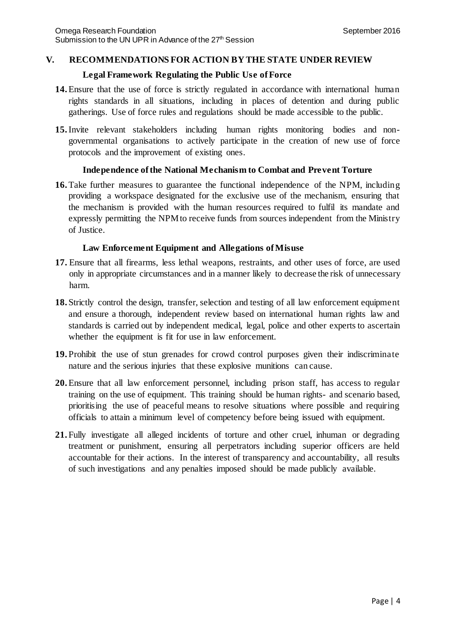#### **V. RECOMMENDATIONS FOR ACTION BY THE STATE UNDER REVIEW**

#### **Legal Framework Regulating the Public Use of Force**

- **14.**Ensure that the use of force is strictly regulated in accordance with international human rights standards in all situations, including in places of detention and during public gatherings. Use of force rules and regulations should be made accessible to the public.
- **15.**Invite relevant stakeholders including human rights monitoring bodies and nongovernmental organisations to actively participate in the creation of new use of force protocols and the improvement of existing ones.

### **Independence of the National Mechanism to Combat and Prevent Torture**

**16.**Take further measures to guarantee the functional independence of the NPM, including providing a workspace designated for the exclusive use of the mechanism, ensuring that the mechanism is provided with the human resources required to fulfil its mandate and expressly permitting the NPM to receive funds from sources independent from the Ministry of Justice.

### **Law Enforcement Equipment and Allegations of Misuse**

- **17.** Ensure that all firearms, less lethal weapons, restraints, and other uses of force, are used only in appropriate circumstances and in a manner likely to decrease the risk of unnecessary harm.
- **18.** Strictly control the design, transfer, selection and testing of all law enforcement equipment and ensure a thorough, independent review based on international human rights law and standards is carried out by independent medical, legal, police and other experts to ascertain whether the equipment is fit for use in law enforcement.
- **19.** Prohibit the use of stun grenades for crowd control purposes given their indiscriminate nature and the serious injuries that these explosive munitions can cause.
- **20.**Ensure that all law enforcement personnel, including prison staff, has access to regular training on the use of equipment. This training should be human rights- and scenario based, prioritising the use of peaceful means to resolve situations where possible and requiring officials to attain a minimum level of competency before being issued with equipment.
- **21.** Fully investigate all alleged incidents of torture and other cruel, inhuman or degrading treatment or punishment, ensuring all perpetrators including superior officers are held accountable for their actions. In the interest of transparency and accountability, all results of such investigations and any penalties imposed should be made publicly available.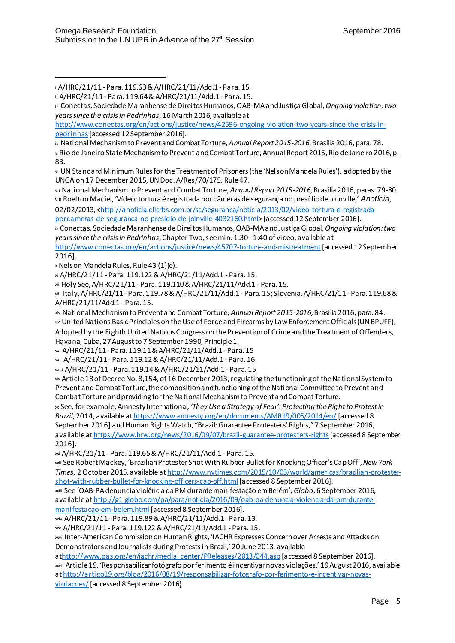http://www.conectas.org/en/actions/justice/news/42596-ongoing-violation-two-years-since-the-crisis-inpedrinhas [accessed 12 September 2016].

iv National Mechanism to Prevent and Combat Torture, *Annual Report 2015-2016*, Brasilia 2016, para. 78.

<sup>v</sup> Rio de Janeiro State Mechanism to Prevent and Combat Torture, Annual Report 2015, Rio de Janeiro 2016, p. 83.

vi UN Standard Minimum Rules for the Treatment of Prisoners (the 'Nelson Mandela Rules'), adopted by the UNGA on 17 December 2015, UN Doc. A/Res/70/175, Rule 47.

vii National Mechanism to Prevent and Combat Torture, *Annual Report 2015-2016*, Brasilia 2016, paras. 79-80. viii Roelton Maciel, 'Vídeo: tortura é registrada por câmeras de segurança no presídio de Joinville,' *Anotícia*, 02/02/2013, <http://anoticia.clicrbs.com.br/sc/seguranca/noticia/2013/02/video-tortura-e-registrada-

porcameras-de-seguranca-no-presidio-de-joinville-4032160.html> [accessed 12 September 2016].

ix Conectas, Sociedade Maranhense de Direitos Humanos, OAB-MA and Justiça Global,*Ongoing violation: two years since the crisis in Pedrinhas*, Chapter Two, see min. 1:30 - 1:40 of video, available at

http://www.conectas.org/en/actions/justice/news/45707-torture-and-mistreatment[accessed 12 September 2016].

<sup>x</sup> Nelson Mandela Rules, Rule 43 (1)(e).

 $\overline{a}$ 

xi A/HRC/21/11 - Para. 119.122 & A/HRC/21/11/Add.1 - Para. 15.

xii Holy See, A/HRC/21/11 - Para. 119.110 & A/HRC/21/11/Add.1 - Para. 15.

xiii Italy, A/HRC/21/11 - Para. 119.78& A/HRC/21/11/Add.1 - Para. 15; Slovenia, A/HRC/21/11 - Para. 119.68& A/HRC/21/11/Add.1 - Para. 15.

xiv National Mechanism to Prevent and Combat Torture, *Annual Report 2015-2016*, Brasilia 2016, para. 84. xv United Nations Basic Principles on the Use of Force and Firearms by Law Enforcement Officials (UN BPUFF), Adopted by the Eighth United Nations Congress on the Prevention of Crime and the Treatment of Offenders, Havana, Cuba, 27 August to 7 September 1990, Principle 1.

xvi A/HRC/21/11 - Para. 119.11& A/HRC/21/11/Add.1 - Para. 15

xvii A/HRC/21/11 - Para. 119.12 & A/HRC/21/11/Add.1 - Para. 16

xviii A/HRC/21/11 - Para. 119.14 & A/HRC/21/11/Add.1 - Para. 15

xix Article 18 of Decree No. 8,154, of 16 December 2013, regulating the functioning of the National System to Prevent and Combat Torture, the composition and functioning of the National Committee to Prevent and Combat Torture and providing for the National Mechanism to Prevent and Combat Torture.

xx See, for example, Amnesty International, *'They Use a Strategy of Fear': Protecting the Right to Protest in Brazil*, 2014, available at https://www.amnesty.org/en/documents/AMR19/005/2014/en/ [accessed 8 September 2016] and Human Rights Watch, "Brazil: Guarantee Protesters' Rights," 7 September 2016, available at https://www.hrw.org/news/2016/09/07/brazil-guarantee-protesters-rights[accessed 8 September 2016].

xxi A/HRC/21/11 - Para. 119.65 & A/HRC/21/11/Add.1 - Para. 15.

xxii See Robert Mackey, 'Brazilian Protester Shot With Rubber Bullet for Knocking Officer's Cap Off', *New York Times*, 2 October 2015, available at http://www.nytimes.com/2015/10/03/world/americas/brazilian-protestershot-with-rubber-bullet-for-knocking-officers-cap-off.html [accessed 8 September 2016].

xxiii See 'OAB-PA denuncia violência da PM durante manifestação em Belém', *Globo*, 6 September 2016, available at http://g1.globo.com/pa/para/noticia/2016/09/oab-pa-denuncia-violencia-da-pm-durantemanifestacao-em-belem.html [accessed 8 September 2016].

xxiv A/HRC/21/11 - Para. 119.89& A/HRC/21/11/Add.1 - Para. 13.

xxv A/HRC/21/11 - Para. 119.122 & A/HRC/21/11/Add.1 - Para. 15.

xxvi Inter-American Commission on Human Rights, 'IACHR Expresses Concern over Arrests and Attacks on Demonstrators and Journalists during Protests in Brazil,' 20 June 2013, available

athttp://www.oas.org/en/iachr/media\_center/PReleases/2013/044.asp [accessed 8 September 2016]. xxvii Article 19, 'Responsabilizar fotógrafo por ferimento é incentivar novas violações,' 19 August 2016, available at http://artigo19.org/blog/2016/08/19/responsabilizar-fotografo-por-ferimento-e-incentivar-novasviolacoes/[accessed 8 September 2016}.

<sup>i</sup> A/HRC/21/11 - Para. 119.63 & A/HRC/21/11/Add.1 - Para. 15.

ii A/HRC/21/11 - Para. 119.64 & A/HRC/21/11/Add.1 - Para. 15.

iii Conectas, Sociedade Maranhense de Direitos Humanos, OAB-MA and JustiçaGlobal, *Ongoing violation: two years since the crisis in Pedrinhas*, 16 March 2016, available at